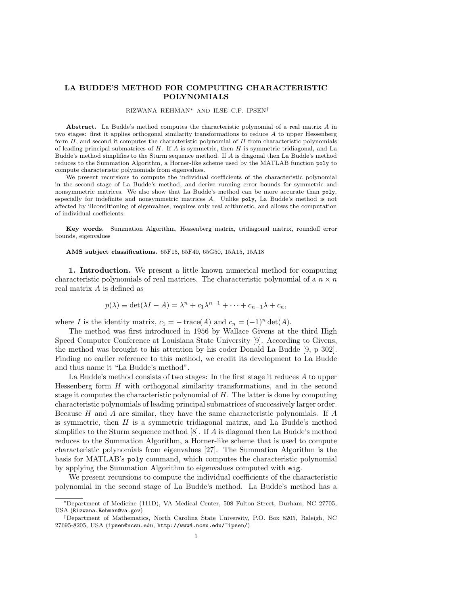## LA BUDDE'S METHOD FOR COMPUTING CHARACTERISTIC POLYNOMIALS

## RIZWANA REHMAN<sup>∗</sup> AND ILSE C.F. IPSEN†

Abstract. La Budde's method computes the characteristic polynomial of a real matrix A in two stages: first it applies orthogonal similarity transformations to reduce A to upper Hessenberg form  $H$ , and second it computes the characteristic polynomial of  $H$  from characteristic polynomials of leading principal submatrices of  $H$ . If  $A$  is symmetric, then  $H$  is symmetric tridiagonal, and La Budde's method simplifies to the Sturm sequence method. If A is diagonal then La Budde's method reduces to the Summation Algorithm, a Horner-like scheme used by the MATLAB function poly to compute characteristic polynomials from eigenvalues.

We present recursions to compute the individual coefficients of the characteristic polynomial in the second stage of La Budde's method, and derive running error bounds for symmetric and nonsymmetric matrices. We also show that La Budde's method can be more accurate than poly, especially for indefinite and nonsymmetric matrices A. Unlike poly, La Budde's method is not affected by illconditioning of eigenvalues, requires only real arithmetic, and allows the computation of individual coefficients.

Key words. Summation Algorithm, Hessenberg matrix, tridiagonal matrix, roundoff error bounds, eigenvalues

## AMS subject classifications. 65F15, 65F40, 65G50, 15A15, 15A18

1. Introduction. We present a little known numerical method for computing characteristic polynomials of real matrices. The characteristic polynomial of a  $n \times n$ real matrix A is defined as

$$
p(\lambda) \equiv \det(\lambda I - A) = \lambda^{n} + c_1 \lambda^{n-1} + \dots + c_{n-1} \lambda + c_n,
$$

where I is the identity matrix,  $c_1 = -\operatorname{trace}(A)$  and  $c_n = (-1)^n \det(A)$ .

The method was first introduced in 1956 by Wallace Givens at the third High Speed Computer Conference at Louisiana State University [9]. According to Givens, the method was brought to his attention by his coder Donald La Budde [9, p 302]. Finding no earlier reference to this method, we credit its development to La Budde and thus name it "La Budde's method".

La Budde's method consists of two stages: In the first stage it reduces  $A$  to upper Hessenberg form  $H$  with orthogonal similarity transformations, and in the second stage it computes the characteristic polynomial of  $H$ . The latter is done by computing characteristic polynomials of leading principal submatrices of successively larger order. Because H and A are similar, they have the same characteristic polynomials. If A is symmetric, then  $H$  is a symmetric tridiagonal matrix, and La Budde's method simplifies to the Sturm sequence method [8]. If A is diagonal then La Budde's method reduces to the Summation Algorithm, a Horner-like scheme that is used to compute characteristic polynomials from eigenvalues [27]. The Summation Algorithm is the basis for MATLAB's poly command, which computes the characteristic polynomial by applying the Summation Algorithm to eigenvalues computed with eig.

We present recursions to compute the individual coefficients of the characteristic polynomial in the second stage of La Budde's method. La Budde's method has a

<sup>∗</sup>Department of Medicine (111D), VA Medical Center, 508 Fulton Street, Durham, NC 27705, USA (Rizwana.Rehman@va.gov)

<sup>†</sup>Department of Mathematics, North Carolina State University, P.O. Box 8205, Raleigh, NC 27695-8205, USA (ipsen@ncsu.edu, http://www4.ncsu.edu/~ipsen/)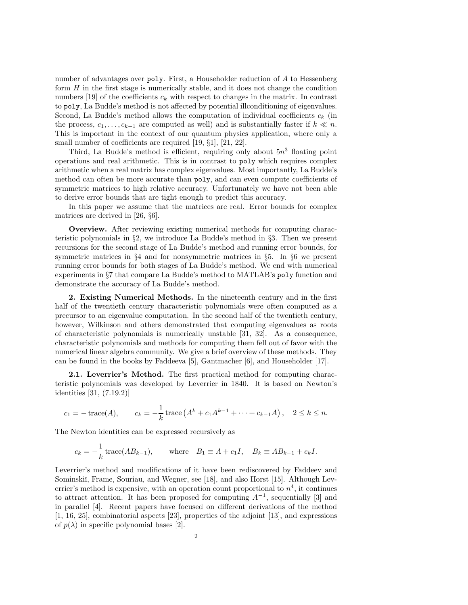number of advantages over poly. First, a Householder reduction of A to Hessenberg form  $H$  in the first stage is numerically stable, and it does not change the condition numbers [19] of the coefficients  $c_k$  with respect to changes in the matrix. In contrast to poly, La Budde's method is not affected by potential illconditioning of eigenvalues. Second, La Budde's method allows the computation of individual coefficients  $c_k$  (in the process,  $c_1, \ldots, c_{k-1}$  are computed as well) and is substantially faster if  $k \ll n$ . This is important in the context of our quantum physics application, where only a small number of coefficients are required [19,  $\S1$ ], [21, 22].

Third, La Budde's method is efficient, requiring only about  $5n<sup>3</sup>$  floating point operations and real arithmetic. This is in contrast to poly which requires complex arithmetic when a real matrix has complex eigenvalues. Most importantly, La Budde's method can often be more accurate than poly, and can even compute coefficients of symmetric matrices to high relative accuracy. Unfortunately we have not been able to derive error bounds that are tight enough to predict this accuracy.

In this paper we assume that the matrices are real. Error bounds for complex matrices are derived in [26, §6].

Overview. After reviewing existing numerical methods for computing characteristic polynomials in §2, we introduce La Budde's method in §3. Then we present recursions for the second stage of La Budde's method and running error bounds, for symmetric matrices in  $\S 4$  and for nonsymmetric matrices in  $\S 5$ . In  $\S 6$  we present running error bounds for both stages of La Budde's method. We end with numerical experiments in §7 that compare La Budde's method to MATLAB's poly function and demonstrate the accuracy of La Budde's method.

2. Existing Numerical Methods. In the nineteenth century and in the first half of the twentieth century characteristic polynomials were often computed as a precursor to an eigenvalue computation. In the second half of the twentieth century, however, Wilkinson and others demonstrated that computing eigenvalues as roots of characteristic polynomials is numerically unstable [31, 32]. As a consequence, characteristic polynomials and methods for computing them fell out of favor with the numerical linear algebra community. We give a brief overview of these methods. They can be found in the books by Faddeeva [5], Gantmacher [6], and Householder [17].

2.1. Leverrier's Method. The first practical method for computing characteristic polynomials was developed by Leverrier in 1840. It is based on Newton's identities [31, (7.19.2)]

$$
c_1 = -\operatorname{trace}(A),
$$
  $c_k = -\frac{1}{k}\operatorname{trace}(A^k + c_1A^{k-1} + \cdots + c_{k-1}A),$   $2 \le k \le n.$ 

The Newton identities can be expressed recursively as

$$
c_k = -\frac{1}{k}
$$
trace $(AB_{k-1})$ , where  $B_1 \equiv A + c_1 I$ ,  $B_k \equiv AB_{k-1} + c_k I$ .

Leverrier's method and modifications of it have been rediscovered by Faddeev and Sominskiı̆, Frame, Souriau, and Wegner, see [18], and also Horst [15]. Although Leverrier's method is expensive, with an operation count proportional to  $n<sup>4</sup>$ , it continues to attract attention. It has been proposed for computing  $A^{-1}$ , sequentially [3] and in parallel [4]. Recent papers have focused on different derivations of the method [1, 16, 25], combinatorial aspects [23], properties of the adjoint [13], and expressions of  $p(\lambda)$  in specific polynomial bases [2].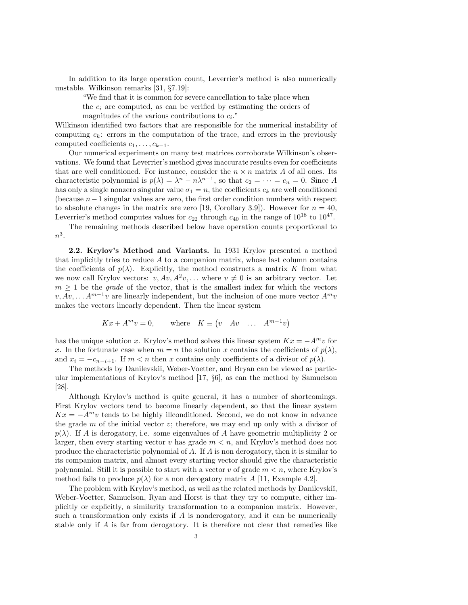In addition to its large operation count, Leverrier's method is also numerically unstable. Wilkinson remarks [31, §7.19]:

"We find that it is common for severe cancellation to take place when

the  $c_i$  are computed, as can be verified by estimating the orders of magnitudes of the various contributions to  $c_i$ ."

Wilkinson identified two factors that are responsible for the numerical instability of computing  $c_k$ : errors in the computation of the trace, and errors in the previously computed coefficients  $c_1, \ldots, c_{k-1}$ .

Our numerical experiments on many test matrices corroborate Wilkinson's observations. We found that Leverrier's method gives inaccurate results even for coefficients that are well conditioned. For instance, consider the  $n \times n$  matrix A of all ones. Its characteristic polynomial is  $p(\lambda) = \lambda^n - n\lambda^{n-1}$ , so that  $c_2 = \cdots = c_n = 0$ . Since A has only a single nonzero singular value  $\sigma_1 = n$ , the coefficients  $c_k$  are well conditioned (because  $n-1$  singular values are zero, the first order condition numbers with respect to absolute changes in the matrix are zero [19, Corollary 3.9]). However for  $n = 40$ , Leverrier's method computes values for  $c_{22}$  through  $c_{40}$  in the range of  $10^{18}$  to  $10^{47}$ .

The remaining methods described below have operation counts proportional to  $n^3$ .

2.2. Krylov's Method and Variants. In 1931 Krylov presented a method that implicitly tries to reduce  $A$  to a companion matrix, whose last column contains the coefficients of  $p(\lambda)$ . Explicitly, the method constructs a matrix K from what we now call Krylov vectors:  $v, Av, A^2v, ...$  where  $v \neq 0$  is an arbitrary vector. Let  $m \geq 1$  be the *grade* of the vector, that is the smallest index for which the vectors  $v, Av, \ldots A^{m-1}v$  are linearly independent, but the inclusion of one more vector  $A^m v$ makes the vectors linearly dependent. Then the linear system

$$
Kx + A^m v = 0
$$
, where  $K \equiv (v \quad Av \quad \dots \quad A^{m-1}v)$ 

has the unique solution x. Krylov's method solves this linear system  $Kx = -A^m v$  for x. In the fortunate case when  $m = n$  the solution x contains the coefficients of  $p(\lambda)$ , and  $x_i = -c_{n-i+1}$ . If  $m < n$  then x contains only coefficients of a divisor of  $p(\lambda)$ .

The methods by Danilevski<sup> $\tilde{u}$ </sup>, Weber-Voetter, and Bryan can be viewed as particular implementations of Krylov's method [17, §6], as can the method by Samuelson [28].

Although Krylov's method is quite general, it has a number of shortcomings. First Krylov vectors tend to become linearly dependent, so that the linear system  $Kx = -A^m v$  tends to be highly illconditioned. Second, we do not know in advance the grade  $m$  of the initial vector  $v$ ; therefore, we may end up only with a divisor of  $p(\lambda)$ . If A is derogatory, i.e. some eigenvalues of A have geometric multiplicity 2 or larger, then every starting vector v has grade  $m < n$ , and Krylov's method does not produce the characteristic polynomial of  $A$ . If  $A$  is non derogatory, then it is similar to its companion matrix, and almost every starting vector should give the characteristic polynomial. Still it is possible to start with a vector v of grade  $m < n$ , where Krylov's method fails to produce  $p(\lambda)$  for a non derogatory matrix A [11, Example 4.2].

The problem with Krylov's method, as well as the related methods by Danilevskiı̆, Weber-Voetter, Samuelson, Ryan and Horst is that they try to compute, either implicitly or explicitly, a similarity transformation to a companion matrix. However, such a transformation only exists if  $A$  is nonderogatory, and it can be numerically stable only if A is far from derogatory. It is therefore not clear that remedies like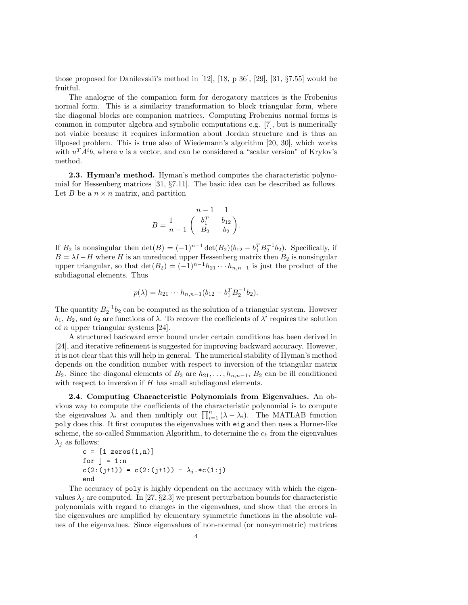those proposed for Danilevskiı's method in  $[12]$ ,  $[18, p 36]$ ,  $[29]$ ,  $[31, \S7.55]$  would be fruitful.

The analogue of the companion form for derogatory matrices is the Frobenius normal form. This is a similarity transformation to block triangular form, where the diagonal blocks are companion matrices. Computing Frobenius normal forms is common in computer algebra and symbolic computations e.g. [7], but is numerically not viable because it requires information about Jordan structure and is thus an illposed problem. This is true also of Wiedemann's algorithm [20, 30], which works with  $u^T A^i b$ , where u is a vector, and can be considered a "scalar version" of Krylov's method.

2.3. Hyman's method. Hyman's method computes the characteristic polynomial for Hessenberg matrices [31, §7.11]. The basic idea can be described as follows. Let B be a  $n \times n$  matrix, and partition

$$
B = \frac{1}{n-1} \begin{pmatrix} n-1 & 1 \\ b_1^T & b_{12} \\ B_2 & b_2 \end{pmatrix}.
$$

If  $B_2$  is nonsingular then  $\det(B) = (-1)^{n-1} \det(B_2) (b_{12} - b_1^T B_2^{-1} b_2)$ . Specifically, if  $B = \lambda I - H$  where H is an unreduced upper Hessenberg matrix then  $B_2$  is nonsingular upper triangular, so that  $\det(B_2) = (-1)^{n-1} h_{21} \cdots h_{n,n-1}$  is just the product of the subdiagonal elements. Thus

$$
p(\lambda) = h_{21} \cdots h_{n,n-1} (b_{12} - b_1^T B_2^{-1} b_2).
$$

The quantity  $B_2^{-1}b_2$  can be computed as the solution of a triangular system. However  $b_1, B_2$ , and  $b_2$  are functions of  $\lambda$ . To recover the coefficients of  $\lambda^i$  requires the solution of n upper triangular systems [24].

A structured backward error bound under certain conditions has been derived in [24], and iterative refinement is suggested for improving backward accuracy. However, it is not clear that this will help in general. The numerical stability of Hyman's method depends on the condition number with respect to inversion of the triangular matrix B<sub>2</sub>. Since the diagonal elements of B<sub>2</sub> are  $h_{21}, \ldots, h_{n,n-1}$ , B<sub>2</sub> can be ill conditioned with respect to inversion if  $H$  has small subdiagonal elements.

2.4. Computing Characteristic Polynomials from Eigenvalues. An obvious way to compute the coefficients of the characteristic polynomial is to compute the eigenvalues  $\lambda_i$  and then multiply out  $\prod_{i=1}^n (\lambda - \lambda_i)$ . The MATLAB function poly does this. It first computes the eigenvalues with eig and then uses a Horner-like scheme, the so-called Summation Algorithm, to determine the  $c_k$  from the eigenvalues  $\lambda_j$  as follows:

c = [1 zeros(1, n)]  
for j = 1:n  
c(2:(j+1)) = c(2:(j+1)) - 
$$
\lambda_j
$$
. \*c(1:j)  
end

The accuracy of poly is highly dependent on the accuracy with which the eigenvalues  $\lambda_j$  are computed. In [27, §2.3] we present perturbation bounds for characteristic polynomials with regard to changes in the eigenvalues, and show that the errors in the eigenvalues are amplified by elementary symmetric functions in the absolute values of the eigenvalues. Since eigenvalues of non-normal (or nonsymmetric) matrices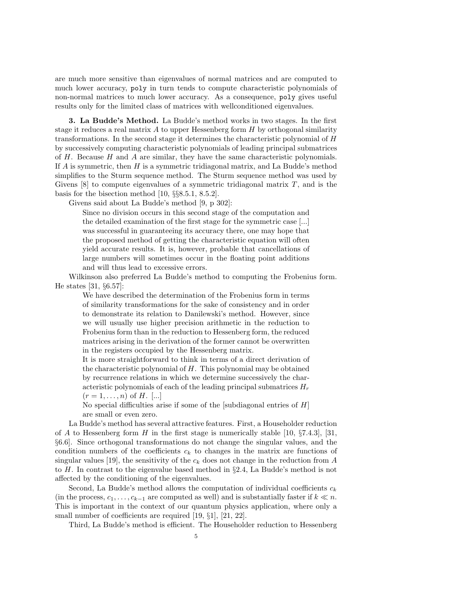are much more sensitive than eigenvalues of normal matrices and are computed to much lower accuracy, poly in turn tends to compute characteristic polynomials of non-normal matrices to much lower accuracy. As a consequence, poly gives useful results only for the limited class of matrices with wellconditioned eigenvalues.

3. La Budde's Method. La Budde's method works in two stages. In the first stage it reduces a real matrix  $A$  to upper Hessenberg form  $H$  by orthogonal similarity transformations. In the second stage it determines the characteristic polynomial of H by successively computing characteristic polynomials of leading principal submatrices of  $H$ . Because  $H$  and  $A$  are similar, they have the same characteristic polynomials. If A is symmetric, then H is a symmetric tridiagonal matrix, and La Budde's method simplifies to the Sturm sequence method. The Sturm sequence method was used by Givens  $[8]$  to compute eigenvalues of a symmetric tridiagonal matrix  $T$ , and is the basis for the bisection method [10, §§8.5.1, 8.5.2].

Givens said about La Budde's method [9, p 302]:

Since no division occurs in this second stage of the computation and the detailed examination of the first stage for the symmetric case [...] was successful in guaranteeing its accuracy there, one may hope that the proposed method of getting the characteristic equation will often yield accurate results. It is, however, probable that cancellations of large numbers will sometimes occur in the floating point additions and will thus lead to excessive errors.

Wilkinson also preferred La Budde's method to computing the Frobenius form. He states [31, §6.57]:

We have described the determination of the Frobenius form in terms of similarity transformations for the sake of consistency and in order to demonstrate its relation to Danilewski's method. However, since we will usually use higher precision arithmetic in the reduction to Frobenius form than in the reduction to Hessenberg form, the reduced matrices arising in the derivation of the former cannot be overwritten in the registers occupied by the Hessenberg matrix.

It is more straightforward to think in terms of a direct derivation of the characteristic polynomial of H. This polynomial may be obtained by recurrence relations in which we determine successively the characteristic polynomials of each of the leading principal submatrices  $H_r$ 

 $(r = 1, \ldots, n)$  of H. [...]

No special difficulties arise if some of the [subdiagonal entries of  $H$ ] are small or even zero.

La Budde's method has several attractive features. First, a Householder reduction of A to Hessenberg form H in the first stage is numerically stable [10,  $\S7.4.3$ ], [31, §6.6]. Since orthogonal transformations do not change the singular values, and the condition numbers of the coefficients  $c_k$  to changes in the matrix are functions of singular values [19], the sensitivity of the  $c_k$  does not change in the reduction from A to H. In contrast to the eigenvalue based method in §2.4, La Budde's method is not affected by the conditioning of the eigenvalues.

Second, La Budde's method allows the computation of individual coefficients  $c_k$ (in the process,  $c_1, \ldots, c_{k-1}$  are computed as well) and is substantially faster if  $k \ll n$ . This is important in the context of our quantum physics application, where only a small number of coefficients are required [19,  $\S1$ ], [21, 22].

Third, La Budde's method is efficient. The Householder reduction to Hessenberg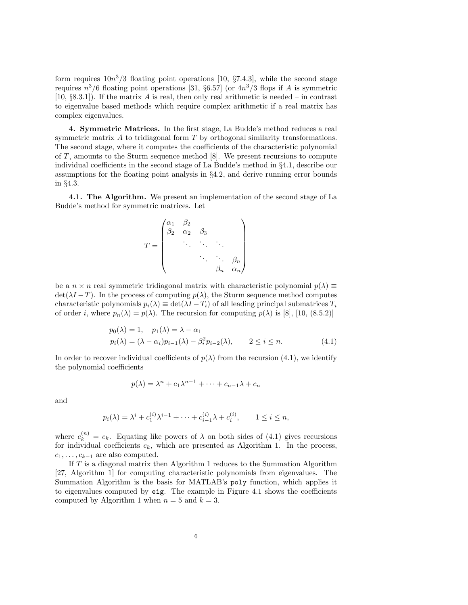form requires  $10n^3/3$  floating point operations [10, §7.4.3], while the second stage requires  $n^3/6$  floating point operations [31, §6.57] (or  $4n^3/3$  flops if A is symmetric [10,  $\S$ 8.3.1]). If the matrix A is real, then only real arithmetic is needed – in contrast to eigenvalue based methods which require complex arithmetic if a real matrix has complex eigenvalues.

4. Symmetric Matrices. In the first stage, La Budde's method reduces a real symmetric matrix  $A$  to tridiagonal form  $T$  by orthogonal similarity transformations. The second stage, where it computes the coefficients of the characteristic polynomial of  $T$ , amounts to the Sturm sequence method [8]. We present recursions to compute individual coefficients in the second stage of La Budde's method in §4.1, describe our assumptions for the floating point analysis in §4.2, and derive running error bounds in §4.3.

4.1. The Algorithm. We present an implementation of the second stage of La Budde's method for symmetric matrices. Let

$$
T = \begin{pmatrix} \alpha_1 & \beta_2 & & & \\ \beta_2 & \alpha_2 & \beta_3 & & \\ & \ddots & \ddots & \ddots & \\ & & \ddots & \ddots & \beta_n \\ & & & \beta_n & \alpha_n \end{pmatrix}
$$

be a  $n \times n$  real symmetric tridiagonal matrix with characteristic polynomial  $p(\lambda) \equiv$  $\det(\lambda I - T)$ . In the process of computing  $p(\lambda)$ , the Sturm sequence method computes characteristic polynomials  $p_i(\lambda) \equiv \det(\lambda I - T_i)$  of all leading principal submatrices  $T_i$ of order i, where  $p_n(\lambda) = p(\lambda)$ . The recursion for computing  $p(\lambda)$  is [8], [10, (8.5.2)]

$$
p_0(\lambda) = 1, \quad p_1(\lambda) = \lambda - \alpha_1
$$
  
\n
$$
p_i(\lambda) = (\lambda - \alpha_i)p_{i-1}(\lambda) - \beta_i^2 p_{i-2}(\lambda), \qquad 2 \le i \le n.
$$
\n(4.1)

In order to recover individual coefficients of  $p(\lambda)$  from the recursion (4.1), we identify the polynomial coefficients

$$
p(\lambda) = \lambda^n + c_1 \lambda^{n-1} + \dots + c_{n-1} \lambda + c_n
$$

and

$$
p_i(\lambda) = \lambda^i + c_1^{(i)} \lambda^{i-1} + \dots + c_{i-1}^{(i)} \lambda + c_i^{(i)}, \qquad 1 \le i \le n,
$$

where  $c_k^{(n)} = c_k$ . Equating like powers of  $\lambda$  on both sides of (4.1) gives recursions for individual coefficients  $c_k$ , which are presented as Algorithm 1. In the process,  $c_1, \ldots, c_{k-1}$  are also computed.

If T is a diagonal matrix then Algorithm 1 reduces to the Summation Algorithm [27, Algorithm 1] for computing characteristic polynomials from eigenvalues. The Summation Algorithm is the basis for MATLAB's poly function, which applies it to eigenvalues computed by eig. The example in Figure 4.1 shows the coefficients computed by Algorithm 1 when  $n = 5$  and  $k = 3$ .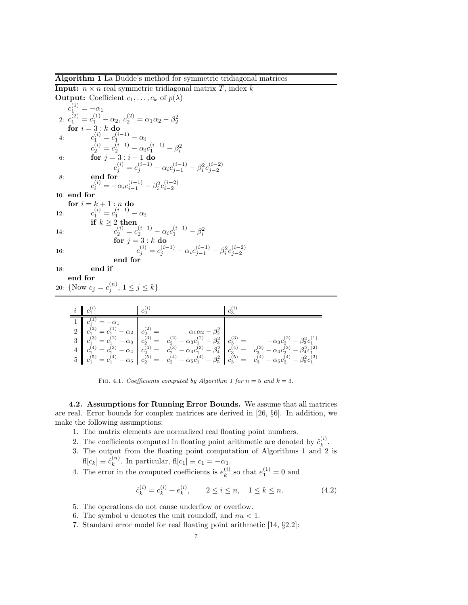Algorithm 1 La Budde's method for symmetric tridiagonal matrices

**Input:**  $n \times n$  real symmetric tridiagonal matrix T, index k **Output:** Coefficient  $c_1, \ldots, c_k$  of  $p(\lambda)$  $c_1^{(1)} = -\alpha_1$ 2:  $c_1^{(2)} = c_1^{(1)} - \alpha_2, c_2^{(2)} = \alpha_1 \alpha_2 - \beta_2^2$ <br> **for**  $i = 3 : k$  **do** 4:  $c_1^{(i)} = c_1^{(i-1)} - \alpha_i$ 6:  $c_2^{(i)} = c_2^{(i-1)} - \alpha_i c_1^{(i-1)} - \beta_i^2$ <br>
6: **for**  $j = 3 : i - 1$  **do** 8: end for  $c_j^{(i)} = c_j^{(i-1)} - \alpha_i c_{j-1}^{(i-1)} - \beta_i^2 c_{j-2}^{(i-2)}$  $c_i^{(i)} = -\alpha_i c_{i-1}^{(i-1)} - \beta_i^2 c_{i-2}^{(i-2)}$ 10: end for for  $i = k + 1 : n$  do 12:  $c_1^{(i)} = c_1^{(i-1)} - \alpha_i$ if  $k \geq 2$  then 14:  $c_2^{(i)} = c_2^{(i-1)} - \alpha_i c_1^{(i-1)} - \beta_i^2$ <br> **for**  $j = 3 : k$  **do** 16:  $c_j^{(i)} = c_j^{(i-1)} - \alpha_i c_{j-1}^{(i-1)} - \beta_i^2 c_{j-2}^{(i-2)}$ <br>end for 18: end if end for 20: {Now  $c_j = c_j^{(n)}$ ,  $1 \le j \le k$ }

| $i \mid c_1^{(i)}$      | $c_2^{(i)}$ | $c_2^{(i)}$ |                                                                                                                                                                                                                                                                                                                                                                                   |
|-------------------------|-------------|-------------|-----------------------------------------------------------------------------------------------------------------------------------------------------------------------------------------------------------------------------------------------------------------------------------------------------------------------------------------------------------------------------------|
| $c_1^{(1)} = -\alpha_1$ |             |             | $\begin{array}{c c c c c c c c c} 2 & c_1^{(2)} & = & c_1^{(1)} - \alpha_2 & c_2^{(2)} & = & \alpha_1 \alpha_2 - \beta_2^2 & c_1^{(3)} & = & c_1^{(3)} - \alpha_3 & c_2^{(4)} & = & c_1^{(5)} - \alpha_4 & c_2^{(5)} & = & c_2^{(5)} - \alpha_4 & c_2^{(5)} & = & c_2^{(5)} - \alpha_4 & c_2^{(5)} & = & c_2^{(5)} - \alpha_4 & c_1^{(5)} & = & c_1^{(5)} - \alpha_5 & c_2^{(5)}$ |

FIG. 4.1. *Coefficients computed by Algorithm 1 for*  $n = 5$  *and*  $k = 3$ *.* 

4.2. Assumptions for Running Error Bounds. We assume that all matrices are real. Error bounds for complex matrices are derived in [26, §6]. In addition, we make the following assumptions:

- 1. The matrix elements are normalized real floating point numbers.
- 2. The coefficients computed in floating point arithmetic are denoted by  $\hat{c}_k^{(i)}$  $\binom{v}{k}$ .
- 3. The output from the floating point computation of Algorithms 1 and 2 is  $\mathrm{fl}[c_k] \equiv \hat{c}_k^{(n)}$  $\binom{n}{k}$ . In particular,  $\text{fl}[c_1] \equiv c_1 = -\alpha_1$ .
- 4. The error in the computed coefficients is  $e_k^{(i)}$  $k^{(i)}$  so that  $e_1^{(1)} = 0$  and

$$
\hat{c}_k^{(i)} = c_k^{(i)} + e_k^{(i)}, \qquad 2 \le i \le n, \quad 1 \le k \le n. \tag{4.2}
$$

- 5. The operations do not cause underflow or overflow.
- 6. The symbol u denotes the unit roundoff, and  $nu < 1$ .
- 7. Standard error model for real floating point arithmetic [14, §2.2]: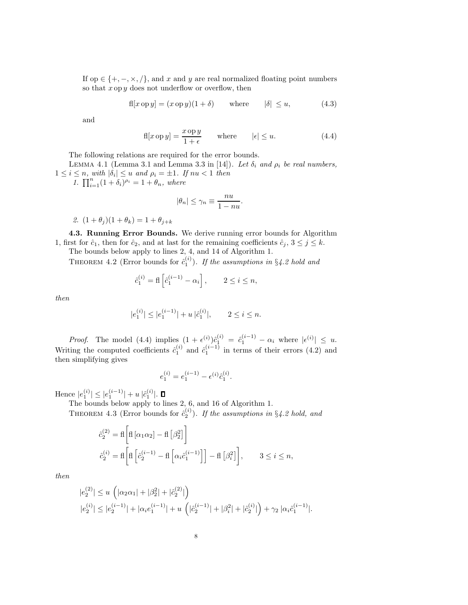If op  $\in \{+, -, \times, / \}$ , and x and y are real normalized floating point numbers so that  $x \circ p y$  does not underflow or overflow, then

$$
fl[x \operatorname{op} y] = (x \operatorname{op} y)(1 + \delta) \qquad \text{where} \qquad |\delta| \le u, \tag{4.3}
$$

and

$$
f[x \text{ op } y] = \frac{x \text{ op } y}{1 + \epsilon} \quad \text{where} \quad |\epsilon| \le u. \tag{4.4}
$$

The following relations are required for the error bounds.

LEMMA 4.1 (Lemma 3.1 and Lemma 3.3 in [14]). Let  $\delta_i$  and  $\rho_i$  be real numbers,  $1 \leq i \leq n$ , with  $|\delta_i| \leq u$  and  $\rho_i = \pm 1$ . If  $nu < 1$  then

1.  $\prod_{i=1}^{n} (1 + \delta_i)^{\rho_i} = 1 + \theta_n$ , where

$$
|\theta_n| \le \gamma_n \equiv \frac{nu}{1 - nu}.
$$

2.  $(1 + \theta_i)(1 + \theta_k) = 1 + \theta_{i+k}$ 

4.3. Running Error Bounds. We derive running error bounds for Algorithm 1, first for  $\hat{c}_1$ , then for  $\hat{c}_2$ , and at last for the remaining coefficients  $\hat{c}_j$ ,  $3 \leq j \leq k$ .

The bounds below apply to lines 2, 4, and 14 of Algorithm 1.

THEOREM 4.2 (Error bounds for  $\hat{c}_1^{(i)}$ ). If the assumptions in §4.2 hold and

$$
\hat{c}_1^{(i)} = \mathsf{fl}\left[\hat{c}_1^{(i-1)} - \alpha_i\right], \qquad 2 \le i \le n,
$$

then

$$
|e_1^{(i)}| \le |e_1^{(i-1)}| + u \;|\hat{c}_1^{(i)}|, \qquad 2 \le i \le n.
$$

*Proof.* The model (4.4) implies  $(1 + \epsilon^{(i)})\hat{c}_1^{(i)} = \hat{c}_1^{(i-1)} - \alpha_i$  where  $|\epsilon^{(i)}| \leq u$ . Writing the computed coefficients  $\hat{c}_1^{(i)}$  and  $\hat{c}_1^{(i-1)}$  in terms of their errors (4.2) and then simplifying gives

$$
e_1^{(i)}=e_1^{(i-1)}-\epsilon^{(i)}\hat{c}_1^{(i)}.
$$

Hence  $|e_1^{(i)}| \leq |e_1^{(i-1)}| + u |\hat{c}_1^{(i)}|$ .

The bounds below apply to lines 2, 6, and 16 of Algorithm 1.

THEOREM 4.3 (Error bounds for  $\hat{c}_2^{(i)}$ ). If the assumptions in §4.2 hold, and

$$
\begin{aligned} \hat{c}_2^{(2)} &= \text{fl}\left[\text{fl}\left[\alpha_1\alpha_2\right] - \text{fl}\left[\beta_2^2\right]\right] \\ \hat{c}_2^{(i)} &= \text{fl}\left[\text{fl}\left[\hat{c}_2^{(i-1)} - \text{fl}\left[\alpha_i\hat{c}_1^{(i-1)}\right]\right] - \text{fl}\left[\beta_i^2\right]\right], \qquad 3 \le i \le n, \end{aligned}
$$

then

$$
|e_2^{(2)}| \le u \left( |\alpha_2 \alpha_1| + |\beta_2^2| + |\hat{c}_2^{(2)}| \right)
$$
  

$$
|e_2^{(i)}| \le |e_2^{(i-1)}| + |\alpha_i e_1^{(i-1)}| + u \left( |\hat{c}_2^{(i-1)}| + |\beta_i^2| + |\hat{c}_2^{(i)}| \right) + \gamma_2 |\alpha_i \hat{c}_1^{(i-1)}|.
$$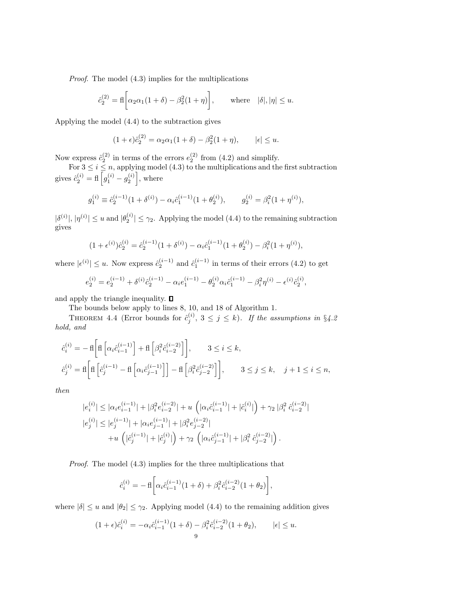Proof. The model (4.3) implies for the multiplications

$$
\hat{c}_2^{(2)} = \text{fl}\bigg[\alpha_2 \alpha_1 (1+\delta) - \beta_2^2 (1+\eta)\bigg], \qquad \text{where} \quad |\delta|, |\eta| \le u.
$$

Applying the model (4.4) to the subtraction gives

$$
(1+\epsilon)\hat{c}_2^{(2)} = \alpha_2\alpha_1(1+\delta) - \beta_2^2(1+\eta), \qquad |\epsilon| \le u.
$$

Now express  $\hat{c}_2^{(2)}$  in terms of the errors  $e_2^{(2)}$  from (4.2) and simplify.

For  $3 \leq i \leq n$ , applying model (4.3) to the multiplications and the first subtraction gives  $\hat{c}_2^{(i)} = \text{fl}\left[g_1^{(i)} - g_2^{(i)}\right]$ , where

$$
g_1^{(i)} \equiv \hat{c}_2^{(i-1)}(1+\delta^{(i)}) - \alpha_i \hat{c}_1^{(i-1)}(1+\theta_2^{(i)}), \qquad g_2^{(i)} = \beta_i^2(1+\eta^{(i)}),
$$

 $|\delta^{(i)}|, |\eta^{(i)}| \le u$  and  $|\theta_2^{(i)}| \le \gamma_2$ . Applying the model (4.4) to the remaining subtraction gives

$$
(1 + \epsilon^{(i)})\hat{c}_2^{(i)} = \hat{c}_2^{(i-1)}(1 + \delta^{(i)}) - \alpha_i \hat{c}_1^{(i-1)}(1 + \theta_2^{(i)}) - \beta_i^2(1 + \eta^{(i)}),
$$

where  $|\epsilon^{(i)}| \leq u$ . Now express  $\hat{c}_2^{(i-1)}$  and  $\hat{c}_1^{(i-1)}$  in terms of their errors (4.2) to get

$$
e_2^{(i)} = e_2^{(i-1)} + \delta^{(i)} \hat{c}_2^{(i-1)} - \alpha_i e_1^{(i-1)} - \theta_2^{(i)} \alpha_i \hat{c}_1^{(i-1)} - \beta_i^2 \eta^{(i)} - \epsilon^{(i)} \hat{c}_2^{(i)},
$$

and apply the triangle inequality.  $\square$ 

The bounds below apply to lines 8, 10, and 18 of Algorithm 1.

THEOREM 4.4 (Error bounds for  $\hat{c}_j^{(i)}$ ,  $3 \leq j \leq k$ ). If the assumptions in §4.2 hold, and

$$
\begin{aligned} \hat{c}_i^{(i)}&=-\operatorname{fl}\left[\operatorname{fl}\left[\alpha_i\hat{c}_{i-1}^{(i-1)}\right]+\operatorname{fl}\left[\beta_i^2\hat{c}_{i-2}^{(i-2)}\right]\right],\qquad 3\leq i\leq k,\\ \hat{c}_j^{(i)}&=\operatorname{fl}\left[\operatorname{fl}\left[\hat{c}_j^{(i-1)}-\operatorname{fl}\left[\alpha_i\hat{c}_{j-1}^{(i-1)}\right]\right]-\operatorname{fl}\left[\beta_i^2\hat{c}_{j-2}^{(i-2)}\right]\right],\qquad 3\leq j\leq k,\quad j+1\leq i\leq n, \end{aligned}
$$

then

$$
|e_i^{(i)}| \le |\alpha_i e_{i-1}^{(i-1)}| + |\beta_i^2 e_{i-2}^{(i-2)}| + u \left( |\alpha_i \hat{c}_{i-1}^{(i-1)}| + |\hat{c}_i^{(i)}| \right) + \gamma_2 |\beta_i^2 \hat{c}_{i-2}^{(i-2)}|
$$
  
\n
$$
|e_j^{(i)}| \le |e_j^{(i-1)}| + |\alpha_i e_{j-1}^{(i-1)}| + |\beta_i^2 e_{j-2}^{(i-2)}|
$$
  
\n
$$
+ u \left( |\hat{c}_j^{(i-1)}| + |\hat{c}_j^{(i)}| \right) + \gamma_2 \left( |\alpha_i \hat{c}_{j-1}^{(i-1)}| + |\beta_i^2 \hat{c}_{j-2}^{(i-2)}| \right).
$$

Proof. The model (4.3) implies for the three multiplications that

$$
\hat{c}_i^{(i)} = -\operatorname{fl}\left[\alpha_i \hat{c}_{i-1}^{(i-1)}(1+\delta) + \beta_i^2 \hat{c}_{i-2}^{(i-2)}(1+\theta_2)\right],
$$

where  $|\delta| \le u$  and  $|\theta_2| \le \gamma_2$ . Applying model (4.4) to the remaining addition gives

$$
(1+\epsilon)\hat{c}_i^{(i)} = -\alpha_i \hat{c}_{i-1}^{(i-1)}(1+\delta) - \beta_i^2 \hat{c}_{i-2}^{(i-2)}(1+\theta_2), \qquad |\epsilon| \le u.
$$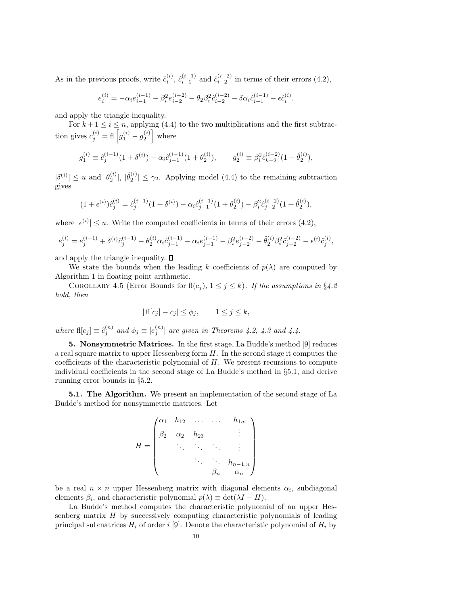As in the previous proofs, write  $\hat{c}_i^{(i)}$ ,  $\hat{c}_{i-1}^{(i-1)}$  and  $\hat{c}_{i-2}^{(i-2)}$  in terms of their errors (4.2),

$$
e_i^{(i)} = -\alpha_i e_{i-1}^{(i-1)} - \beta_i^2 e_{i-2}^{(i-2)} - \theta_2 \beta_i^2 \hat{c}_{i-2}^{(i-2)} - \delta \alpha_i \hat{c}_{i-1}^{(i-1)} - \epsilon \hat{c}_i^{(i)}.
$$

and apply the triangle inequality.

For  $k + 1 \leq i \leq n$ , applying (4.4) to the two multiplications and the first subtraction gives  $c_j^{(i)} = \text{fl} \left[ g_1^{(i)} - g_2^{(i)} \right]$  where

$$
g_1^{(i)} \equiv \hat{c}_j^{(i-1)}(1+\delta^{(i)}) - \alpha_i \hat{c}_{j-1}^{(i-1)}(1+\theta_2^{(i)}), \qquad g_2^{(i)} \equiv \beta_i^2 \hat{c}_{k-2}^{(i-2)}(1+\hat{\theta}_2^{(i)}),
$$

 $|\delta^{(i)}| \leq u$  and  $|\theta_2^{(i)}|, |\hat{\theta}_2^{(i)}| \leq \gamma_2$ . Applying model (4.4) to the remaining subtraction gives

$$
(1+\epsilon^{(i)})\hat{c}_j^{(i)} = \hat{c}_j^{(i-1)}(1+\delta^{(i)}) - \alpha_i \hat{c}_{j-1}^{(i-1)}(1+\theta_2^{(i)}) - \beta_i^2 \hat{c}_{j-2}^{(i-2)}(1+\hat{\theta}_2^{(i)}),
$$

where  $|\epsilon^{(i)}| \leq u$ . Write the computed coefficients in terms of their errors (4.2),

$$
e_j^{(i)} = e_j^{(i-1)} + \delta^{(i)} \hat{c}_j^{(i-1)} - \theta_2^{(i)} \alpha_i \hat{c}_{j-1}^{(i-1)} - \alpha_i e_{j-1}^{(i-1)} - \beta_i^2 e_{j-2}^{(i-2)} - \hat{\theta}_2^{(i)} \beta_i^2 \hat{c}_{j-2}^{(i-2)} - \epsilon^{(i)} \hat{c}_j^{(i)},
$$

and apply the triangle inequality.  $\square$ 

We state the bounds when the leading k coefficients of  $p(\lambda)$  are computed by Algorithm 1 in floating point arithmetic.

COROLLARY 4.5 (Error Bounds for  $fl(c_j), 1 \leq j \leq k$ ). If the assumptions in §4.2 hold, then

$$
|\operatorname{fl}[c_j] - c_j| \le \phi_j, \qquad 1 \le j \le k,
$$

where  $\text{fl}[c_j] \equiv \hat{c}_j^{(n)}$  and  $\phi_j \equiv |e_j^{(n)}|$  are given in Theorems 4.2, 4.3 and 4.4.

5. Nonsymmetric Matrices. In the first stage, La Budde's method [9] reduces a real square matrix to upper Hessenberg form  $H$ . In the second stage it computes the coefficients of the characteristic polynomial of H. We present recursions to compute individual coefficients in the second stage of La Budde's method in §5.1, and derive running error bounds in §5.2.

5.1. The Algorithm. We present an implementation of the second stage of La Budde's method for nonsymmetric matrices. Let

$$
H = \begin{pmatrix} \alpha_1 & h_{12} & \dots & \dots & h_{1n} \\ \beta_2 & \alpha_2 & h_{23} & & \vdots \\ & \ddots & \ddots & \ddots & \vdots \\ & & \ddots & \ddots & h_{n-1,n} \\ & & & \beta_n & \alpha_n \end{pmatrix}
$$

be a real  $n \times n$  upper Hessenberg matrix with diagonal elements  $\alpha_i$ , subdiagonal elements  $\beta_i$ , and characteristic polynomial  $p(\lambda) \equiv \det(\lambda I - H)$ .

La Budde's method computes the characteristic polynomial of an upper Hessenberg matrix  $H$  by successively computing characteristic polynomials of leading principal submatrices  $H_i$  of order i [9]. Denote the characteristic polynomial of  $H_i$  by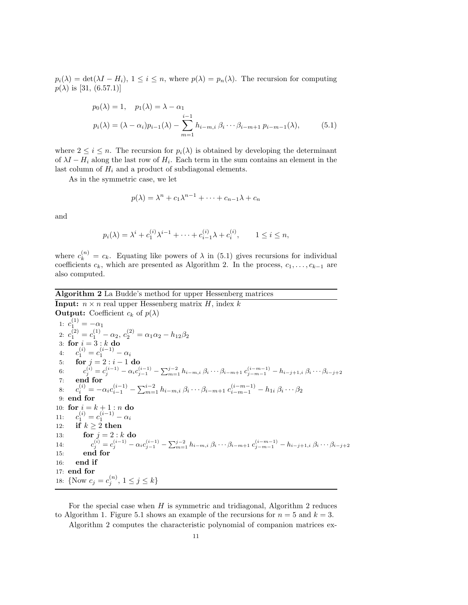$p_i(\lambda) = \det(\lambda I - H_i), 1 \leq i \leq n$ , where  $p(\lambda) = p_n(\lambda)$ . The recursion for computing  $p(\lambda)$  is [31, (6.57.1)]

$$
p_0(\lambda) = 1, \quad p_1(\lambda) = \lambda - \alpha_1
$$
  
\n
$$
p_i(\lambda) = (\lambda - \alpha_i)p_{i-1}(\lambda) - \sum_{m=1}^{i-1} h_{i-m,i} \beta_i \cdots \beta_{i-m+1} p_{i-m-1}(\lambda),
$$
\n(5.1)

where  $2 \leq i \leq n$ . The recursion for  $p_i(\lambda)$  is obtained by developing the determinant of  $\lambda I - H_i$  along the last row of  $H_i$ . Each term in the sum contains an element in the last column of  $H_i$  and a product of subdiagonal elements.

As in the symmetric case, we let

$$
p(\lambda) = \lambda^n + c_1 \lambda^{n-1} + \dots + c_{n-1} \lambda + c_n
$$

and

$$
p_i(\lambda) = \lambda^i + c_1^{(i)} \lambda^{i-1} + \dots + c_{i-1}^{(i)} \lambda + c_i^{(i)}, \qquad 1 \le i \le n,
$$

where  $c_k^{(n)} = c_k$ . Equating like powers of  $\lambda$  in (5.1) gives recursions for individual coefficients  $c_k$ , which are presented as Algorithm 2. In the process,  $c_1, \ldots, c_{k-1}$  are also computed.

Algorithm 2 La Budde's method for upper Hessenberg matrices

**Input:**  $n \times n$  real upper Hessenberg matrix H, index k **Output:** Coefficient  $c_k$  of  $p(\lambda)$ 1:  $c_1^{(1)} = -\alpha_1$ 2:  $c_1^{(2)} = c_1^{(1)} - \alpha_2, c_2^{(2)} = \alpha_1 \alpha_2 - h_{12} \beta_2$ 3: for  $i = 3 : k$  do 4:  $c_1^{(i)} = c_1^{(i-1)} - \alpha_i$ 5: **for**  $j = 2 : i - 1$  **do** 6:  $c_j^{(i)} = c_j^{(i-1)} - \alpha_i c_{j-1}^{(i-1)} - \sum_{m=1}^{j-2} h_{i-m,i} \beta_i \cdots \beta_{i-m+1} c_{j-m-1}^{(i-m-1)} - h_{i-j+1,i} \beta_i \cdots \beta_{i-j+2}$ 7: end for 8:  $c_i^{(i)} = -\alpha_i c_{i-1}^{(i-1)} - \sum_{m=1}^{i-2} h_{i-m,i} \beta_i \cdots \beta_{i-m+1} c_{i-m-1}^{(i-m-1)}$  $\hat{b}_{i}^{(i)} = -\alpha_i c_{i-1}^{(i-1)} - \sum_{m=1}^{i-2} h_{i-m,i} \, \beta_i \cdots \beta_{i-m+1} \, c_{i-m-1}^{(i-m-1)} - h_{1i} \, \beta_i \cdots \beta_{2i}$ 9: end for 10: for  $i = k + 1 : n$  do 11:  $c_1^{(i)} = c_1^{(i-1)} - \alpha_i$ 12: if  $k \geq 2$  then 13: **for**  $j = 2 : k$  **do** 14:  $c_j^{(i)} = c_j^{(i-1)} - \alpha_i c_{j-1}^{(i-1)} - \sum_{m=1}^{j-2} h_{i-m,i} \ \beta_i \cdots \beta_{i-m+1} \ c_{j-m-1}^{(i-m-1)} - h_{i-j+1,i} \ \beta_i \cdots \beta_{i-j+2}$ 15: end for 16: end if 17: end for 18: {Now  $c_j = c_j^{(n)}$ ,  $1 \le j \le k$ }

For the special case when  $H$  is symmetric and tridiagonal, Algorithm 2 reduces to Algorithm 1. Figure 5.1 shows an example of the recursions for  $n = 5$  and  $k = 3$ .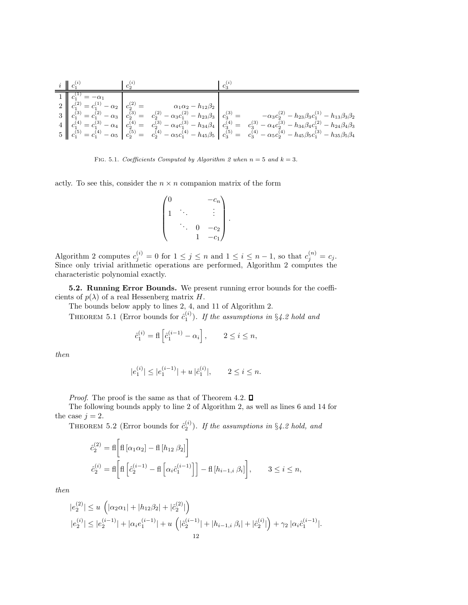| $i \parallel c_1^{v}$ | $c_2^{(i)}$ | $c_s^{(i)}$ |                                                                                                                                                                                                                                                                                                                                                                              |  |
|-----------------------|-------------|-------------|------------------------------------------------------------------------------------------------------------------------------------------------------------------------------------------------------------------------------------------------------------------------------------------------------------------------------------------------------------------------------|--|
| $\prime = -\alpha_1$  |             |             | $\begin{array}{c c c c c c} 2 & c_1^{(2)} = c_1^{(1)} - \alpha_2 & c_2^{(2)} = & \alpha_1\alpha_2 - h_{12}\beta_2 \\ 3 & c_1^{(3)} = c_1^{(2)} - \alpha_3 & c_2^{(3)} = & c_2^{(2)} - \alpha_3c_1^{(2)} - h_{23}\beta_3 \\ 4 & c_1^{(4)} = c_1^{(3)} - \alpha_4 & c_2^{(4)} = & c_2^{(3)} - \alpha_4c_1^{(3)} - h_{34}\beta_4 & c_3^{(4)} = & c_3^{(3)} - \alpha_4c_2^{(3)}$ |  |

FIG. 5.1. *Coefficients Computed by Algorithm 2 when*  $n = 5$  *and*  $k = 3$ *.* 

actly. To see this, consider the  $n \times n$  companion matrix of the form

$$
\begin{pmatrix} 0 & & & -c_n \\ 1 & \ddots & & \vdots \\ & \ddots & 0 & -c_2 \\ & & 1 & -c_1 \end{pmatrix}.
$$

Algorithm 2 computes  $c_j^{(i)} = 0$  for  $1 \leq j \leq n$  and  $1 \leq i \leq n-1$ , so that  $c_j^{(n)} = c_j$ . Since only trivial arithmetic operations are performed, Algorithm 2 computes the characteristic polynomial exactly.

5.2. Running Error Bounds. We present running error bounds for the coefficients of  $p(\lambda)$  of a real Hessenberg matrix H.

The bounds below apply to lines 2, 4, and 11 of Algorithm 2.

THEOREM 5.1 (Error bounds for  $\hat{c}_1^{(i)}$ ). If the assumptions in §4.2 hold and

$$
\hat{c}_1^{(i)} = \text{fl}\left[\hat{c}_1^{(i-1)} - \alpha_i\right], \qquad 2 \le i \le n,
$$

then

$$
|e_1^{(i)}| \le |e_1^{(i-1)}| + u \, |\hat{c}_1^{(i)}|, \qquad 2 \le i \le n.
$$

*Proof.* The proof is the same as that of Theorem 4.2.  $\Box$ 

The following bounds apply to line 2 of Algorithm 2, as well as lines 6 and 14 for the case  $j = 2$ .

THEOREM 5.2 (Error bounds for  $\hat{c}_2^{(i)}$ ). If the assumptions in §4.2 hold, and

$$
\begin{aligned}\n\hat{c}_2^{(2)} &= \mathrm{fl}\left[\mathrm{fl}\left[\alpha_1\alpha_2\right] - \mathrm{fl}\left[h_{12}\,\beta_2\right]\right] \\
\hat{c}_2^{(i)} &= \mathrm{fl}\left[\mathrm{fl}\left[\hat{c}_2^{(i-1)} - \mathrm{fl}\left[\alpha_i\hat{c}_1^{(i-1)}\right]\right] - \mathrm{fl}\left[h_{i-1,i}\,\beta_i\right]\right], \qquad 3 \le i \le n,\n\end{aligned}
$$

then

$$
|e_2^{(2)}| \le u \left( |\alpha_2 \alpha_1| + |h_{12} \beta_2| + |\hat{c}_2^{(2)}| \right)
$$
  

$$
|e_2^{(i)}| \le |e_2^{(i-1)}| + |\alpha_i e_1^{(i-1)}| + u \left( |\hat{c}_2^{(i-1)}| + |h_{i-1,i} \beta_i| + |\hat{c}_2^{(i)}| \right) + \gamma_2 |\alpha_i \hat{c}_1^{(i-1)}|.
$$
  
12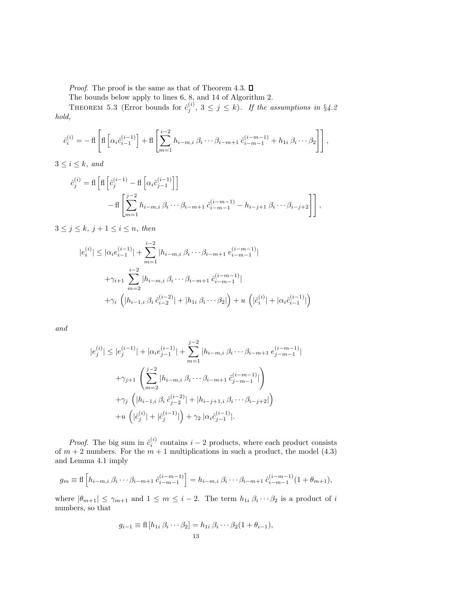*Proof.* The proof is the same as that of Theorem 4.3.  $\Box$ 

The bounds below apply to lines 6, 8, and 14 of Algorithm 2.

THEOREM 5.3 (Error bounds for  $\hat{c}_j^{(i)}$ ,  $3 \leq j \leq k$ ). If the assumptions in §4.2 hold,

$$
\hat{c}_i^{(i)} = -\operatorname{fl}\left[\operatorname{fl}\left[\alpha_i \hat{c}_{i-1}^{(i-1)}\right] + \operatorname{fl}\left[\sum_{m=1}^{i-2} h_{i-m,i} \beta_i \cdots \beta_{i-m+1} \hat{c}_{i-m-1}^{(i-m-1)} + h_{1i} \beta_i \cdots \beta_2\right]\right],
$$

 $3 \leq i \leq k$ , and

$$
\hat{c}_{j}^{(i)} = \text{fl}\left[\text{fl}\left[\hat{c}_{j}^{(i-1)} - \text{fl}\left[\alpha_{i}\hat{c}_{j-1}^{(i-1)}\right]\right] - \text{fl}\left[\sum_{m=1}^{j-2} h_{i-m,i} \beta_{i} \cdots \beta_{i-m+1} \hat{c}_{i-m-1}^{(i-m-1)} - h_{i-j+1} \beta_{i} \cdots \beta_{i-j+2}\right]\right],
$$

 $3 \leq j \leq k, j+1 \leq i \leq n$ , then

$$
|e_{i}^{(i)}| \leq |\alpha_{i} e_{i-1}^{(i-1)}| + \sum_{m=1}^{i-2} |h_{i-m,i} \beta_{i} \cdots \beta_{i-m+1} e_{i-m-1}^{(i-m-1)}|
$$
  
+
$$
\gamma_{i+1} \sum_{m=2}^{i-2} |h_{i-m,i} \beta_{i} \cdots \beta_{i-m+1} \hat{c}_{i-m-1}^{(i-m-1)}|
$$
  
+
$$
\gamma_{i} (|h_{i-1,i} \beta_{i} \hat{c}_{i-2}^{(i-2)}| + |h_{1i} \beta_{i} \cdots \beta_{2}|) + u (|\hat{c}_{i}^{(i)}| + |\alpha_{i} \hat{c}_{i-1}^{(i-1)}|)
$$

and

$$
|e_j^{(i)}| \le |e_j^{(i-1)}| + |\alpha_i e_{j-1}^{(i-1)}| + \sum_{m=1}^{j-2} |h_{i-m,i} \beta_i \cdots \beta_{i-m+1} e_{j-m-1}^{(i-m-1)}|
$$
  
+ $\gamma_{j+1} \left( \sum_{m=2}^{j-2} |h_{i-m,i} \beta_i \cdots \beta_{i-m+1} e_{j-m-1}^{(i-m-1)}| \right)$   
+ $\gamma_j \left( |h_{i-1,i} \beta_i e_{j-2}^{(i-2)}| + |h_{i-j+1,i} \beta_i \cdots \beta_{i-j+2}| \right)$   
+ $u \left( |\hat{e}_j^{(i)}| + |\hat{e}_j^{(i-1)}| \right) + \gamma_2 |\alpha_i \hat{e}_{j-1}^{(i-1)}|.$ 

*Proof.* The big sum in  $\hat{c}_i^{(i)}$  contains  $i-2$  products, where each product consists of  $m + 2$  numbers. For the  $m + 1$  multiplications in such a product, the model (4.3) and Lemma 4.1 imply

$$
g_m \equiv \text{fl}\left[h_{i-m,i}\,\beta_i\cdots\beta_{i-m+1}\,\hat{c}_{i-m-1}^{(i-m-1)}\right] = h_{i-m,i}\,\beta_i\cdots\beta_{i-m+1}\,\hat{c}_{i-m-1}^{(i-m-1)}(1+\theta_{m+1}),
$$

where  $|\theta_{m+1}| \leq \gamma_{m+1}$  and  $1 \leq m \leq i-2$ . The term  $h_{1i} \beta_i \cdots \beta_2$  is a product of i numbers, so that

$$
g_{i-1} \equiv \text{fl}\left[h_{1i} \ \beta_i \cdots \beta_2\right] = h_{1i} \ \beta_i \cdots \beta_2 (1 + \theta_{i-1}),
$$
  
13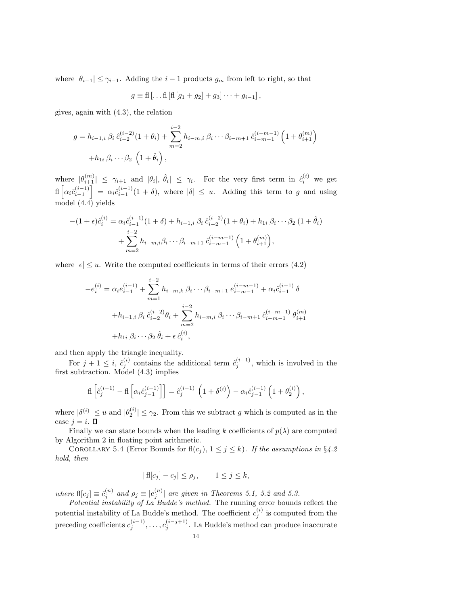where  $|\theta_{i-1}| \leq \gamma_{i-1}$ . Adding the  $i-1$  products  $g_m$  from left to right, so that

$$
g \equiv \text{fl} \left[ \dots \text{fl} \left[ \text{fl} \left[ g_1 + g_2 \right] + g_3 \right] \dots + g_{i-1} \right],
$$

gives, again with (4.3), the relation

$$
g = h_{i-1,i} \beta_i \hat{c}_{i-2}^{(i-2)} (1 + \theta_i) + \sum_{m=2}^{i-2} h_{i-m,i} \beta_i \cdots \beta_{i-m+1} \hat{c}_{i-m-1}^{(i-m-1)} \left( 1 + \theta_{i+1}^{(m)} \right) + h_{1i} \beta_i \cdots \beta_2 \left( 1 + \hat{\theta}_i \right),
$$

where  $|\theta_{i+1}^{(m)}| \leq \gamma_{i+1}$  and  $|\theta_i|, |\hat{\theta}_i| \leq \gamma_i$ . For the very first term in  $\hat{c}_i^{(i)}$  we get  $\text{If } \left[\alpha_i \hat{c}_{i-1}^{(i-1)}\right] = \alpha_i \hat{c}_{i-1}^{(i-1)}(1+\delta), \text{ where } |\delta| \leq u.$  Adding this term to g and using model (4.4) yields

$$
-(1+\epsilon)\hat{c}_{i}^{(i)} = \alpha_{i}\hat{c}_{i-1}^{(i-1)}(1+\delta) + h_{i-1,i}\beta_{i}\hat{c}_{i-2}^{(i-2)}(1+\theta_{i}) + h_{1i}\beta_{i}\cdots\beta_{2}(1+\hat{\theta}_{i}) + \sum_{m=2}^{i-2} h_{i-m,i}\beta_{i}\cdots\beta_{i-m+1}\hat{c}_{i-m-1}^{(i-m-1)}\left(1+\theta_{i+1}^{(m)}\right),
$$

where  $|\epsilon| \leq u$ . Write the computed coefficients in terms of their errors (4.2)

$$
-e_i^{(i)} = \alpha_i e_{i-1}^{(i-1)} + \sum_{m=1}^{i-2} h_{i-m,k} \beta_i \cdots \beta_{i-m+1} e_{i-m-1}^{(i-m-1)} + \alpha_i \hat{c}_{i-1}^{(i-1)} \delta
$$
  
+
$$
h_{i-1,i} \beta_i \hat{c}_{i-2}^{(i-2)} \theta_i + \sum_{m=2}^{i-2} h_{i-m,i} \beta_i \cdots \beta_{i-m+1} \hat{c}_{i-m-1}^{(i-m-1)} \theta_{i+1}^{(m)}
$$
  
+
$$
h_{1i} \beta_i \cdots \beta_2 \hat{\theta}_i + \epsilon \hat{c}_i^{(i)},
$$

and then apply the triangle inequality.

For  $j + 1 \leq i$ ,  $\hat{c}_j^{(i)}$  contains the additional term  $\hat{c}_j^{(i-1)}$ , which is involved in the first subtraction. Model (4.3) implies

$$
\mathrm{fl}\left[\hat{c}_j^{(i-1)} - \mathrm{fl}\left[\alpha_i \hat{c}_{j-1}^{(i-1)}\right]\right] = \hat{c}_j^{(i-1)}\left(1 + \delta^{(i)}\right) - \alpha_i \hat{c}_{j-1}^{(i-1)}\left(1 + \theta_2^{(i)}\right),
$$

where  $|\delta^{(i)}| \le u$  and  $|\theta_2^{(i)}| \le \gamma_2$ . From this we subtract g which is computed as in the case  $i = i$ .  $\Box$ 

Finally we can state bounds when the leading k coefficients of  $p(\lambda)$  are computed by Algorithm 2 in floating point arithmetic.

COROLLARY 5.4 (Error Bounds for  $fl(c_j), 1 \leq j \leq k$ ). If the assumptions in §4.2 hold, then

$$
|f[f_2] - c_j| \le \rho_j, \qquad 1 \le j \le k,
$$

where  $\text{fl}[c_j] \equiv \hat{c}_j^{(n)}$  and  $\rho_j \equiv |e_j^{(n)}|$  are given in Theorems 5.1, 5.2 and 5.3.

Potential instability of La Budde's method. The running error bounds reflect the potential instability of La Budde's method. The coefficient  $c_j^{(i)}$  is computed from the preceding coefficients  $c_j^{(i-1)}, \ldots, c_j^{(i-j+1)}$ . La Budde's method can produce inaccurate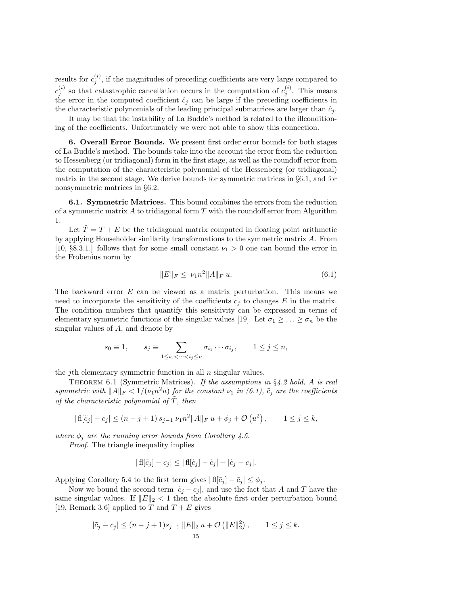results for  $c_j^{(i)}$ , if the magnitudes of preceding coefficients are very large compared to  $c_j^{(i)}$  so that catastrophic cancellation occurs in the computation of  $c_j^{(i)}$ . This means the error in the computed coefficient  $\hat{c}_j$  can be large if the preceding coefficients in the characteristic polynomials of the leading principal submatrices are larger than  $\hat{c}_j$ .

It may be that the instability of La Budde's method is related to the illconditioning of the coefficients. Unfortunately we were not able to show this connection.

6. Overall Error Bounds. We present first order error bounds for both stages of La Budde's method. The bounds take into the account the error from the reduction to Hessenberg (or tridiagonal) form in the first stage, as well as the roundoff error from the computation of the characteristic polynomial of the Hessenberg (or tridiagonal) matrix in the second stage. We derive bounds for symmetric matrices in §6.1, and for nonsymmetric matrices in §6.2.

6.1. Symmetric Matrices. This bound combines the errors from the reduction of a symmetric matrix  $A$  to tridiagonal form  $T$  with the roundoff error from Algorithm 1.

Let  $\tilde{T} = T + E$  be the tridiagonal matrix computed in floating point arithmetic by applying Householder similarity transformations to the symmetric matrix A. From [10, §8.3.1.] follows that for some small constant  $\nu_1 > 0$  one can bound the error in the Frobenius norm by

$$
||E||_F \le \nu_1 n^2 ||A||_F u. \tag{6.1}
$$

The backward error E can be viewed as a matrix perturbation. This means we need to incorporate the sensitivity of the coefficients  $c_i$  to changes E in the matrix. The condition numbers that quantify this sensitivity can be expressed in terms of elementary symmetric functions of the singular values [19]. Let  $\sigma_1 \geq \ldots \geq \sigma_n$  be the singular values of A, and denote by

$$
s_0 \equiv 1,
$$
  $s_j \equiv \sum_{1 \le i_1 < \cdots < i_j \le n} \sigma_{i_1} \cdots \sigma_{i_j}, \qquad 1 \le j \le n,$ 

the *j*th elementary symmetric function in all  $n$  singular values.

THEOREM 6.1 (Symmetric Matrices). If the assumptions in  $\S 4.2$  hold, A is real symmetric with  $||A||_F < 1/(\nu_1 n^2 u)$  for the constant  $\nu_1$  in (6.1),  $\tilde{c}_j$  are the coefficients of the characteristic polynomial of  $\tilde{T}$ , then

$$
| \operatorname{fl}[\tilde{c}_j] - c_j | \le (n - j + 1) s_{j-1} \nu_1 n^2 \| A \|_F u + \phi_j + \mathcal{O}(u^2) , \qquad 1 \le j \le k,
$$

where  $\phi_j$  are the running error bounds from Corollary 4.5.

Proof. The triangle inequality implies

$$
|f\|[\tilde{c}_j] - c_j| \leq |f\|[\tilde{c}_j] - \tilde{c}_j| + |\tilde{c}_j - c_j|.
$$

Applying Corollary 5.4 to the first term gives  $| \text{fl}[\tilde{c}_j] - \tilde{c}_j | \leq \phi_j$ .

Now we bound the second term  $|\tilde{c}_i - c_i|$ , and use the fact that A and T have the same singular values. If  $||E||_2 < 1$  then the absolute first order perturbation bound [19, Remark 3.6] applied to T and  $T + E$  gives

$$
|\tilde{c}_j - c_j| \le (n - j + 1)s_{j-1} ||E||_2 u + \mathcal{O} (||E||_2^2), \qquad 1 \le j \le k.
$$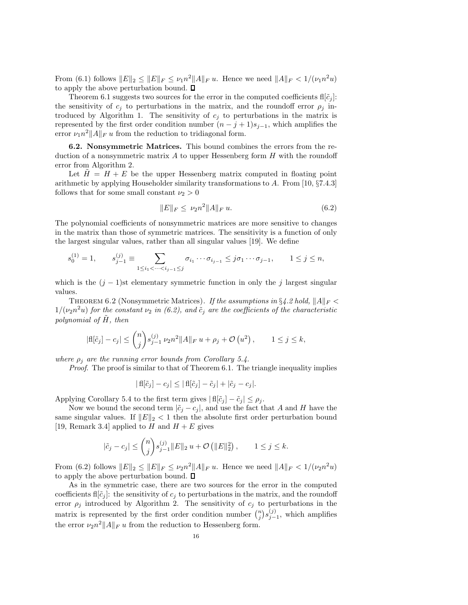From (6.1) follows  $||E||_2 \le ||E||_F \le \nu_1 n^2 ||A||_F u$ . Hence we need  $||A||_F < 1/(\nu_1 n^2 u)$ to apply the above perturbation bound.  $\square$ 

Theorem 6.1 suggests two sources for the error in the computed coefficients  $\mathbf{f}[\tilde{c}_i]$ : the sensitivity of  $c_i$  to perturbations in the matrix, and the roundoff error  $\rho_i$  introduced by Algorithm 1. The sensitivity of  $c_j$  to perturbations in the matrix is represented by the first order condition number  $(n - j + 1)s_{j-1}$ , which amplifies the error  $\nu_1 n^2 ||A||_F u$  from the reduction to tridiagonal form.

6.2. Nonsymmetric Matrices. This bound combines the errors from the reduction of a nonsymmetric matrix  $A$  to upper Hessenberg form  $H$  with the roundoff error from Algorithm 2.

Let  $\tilde{H} = H + E$  be the upper Hessenberg matrix computed in floating point arithmetic by applying Householder similarity transformations to A. From [10, §7.4.3] follows that for some small constant  $\nu_2 > 0$ 

$$
||E||_F \le \nu_2 n^2 ||A||_F u. \tag{6.2}
$$

The polynomial coefficients of nonsymmetric matrices are more sensitive to changes in the matrix than those of symmetric matrices. The sensitivity is a function of only the largest singular values, rather than all singular values [19]. We define

$$
s_0^{(1)} = 1, \qquad s_{j-1}^{(j)} \equiv \sum_{1 \le i_1 < \dots < i_{j-1} \le j} \sigma_{i_1} \cdots \sigma_{i_{j-1}} \le j \sigma_1 \cdots \sigma_{j-1}, \qquad 1 \le j \le n,
$$

which is the  $(j - 1)$ st elementary symmetric function in only the j largest singular values.

THEOREM 6.2 (Nonsymmetric Matrices). If the assumptions in  $\S 4.2$  hold,  $||A||_F <$  $1/(\nu_2 n^2 u)$  for the constant  $\nu_2$  in (6.2), and  $\tilde{c}_j$  are the coefficients of the characteristic polynomial of  $H$ , then

$$
|\mathbf{f}|[\tilde{c}_j] - c_j| \leq {n \choose j} s_{j-1}^{(j)} \nu_2 n^2 ||A||_F u + \rho_j + \mathcal{O}(u^2), \qquad 1 \leq j \leq k,
$$

where  $\rho_j$  are the running error bounds from Corollary 5.4.

Proof. The proof is similar to that of Theorem 6.1. The triangle inequality implies

$$
|f\tilde{c}_j] - c_j| \leq |f\tilde{c}_j] - \tilde{c}_j| + |\tilde{c}_j - c_j|.
$$

Applying Corollary 5.4 to the first term gives  $| \text{fl}[\tilde{c}_j] - \tilde{c}_j | \leq \rho_j$ .

Now we bound the second term  $|\tilde{c}_j - c_j|$ , and use the fact that A and H have the same singular values. If  $||E||_2 < 1$  then the absolute first order perturbation bound [19, Remark 3.4] applied to H and  $H + E$  gives

$$
|\tilde{c}_j - c_j| \leq {n \choose j} s_{j-1}^{(j)} \|E\|_2 u + \mathcal{O}(|E\|_2^2), \qquad 1 \leq j \leq k.
$$

From (6.2) follows  $||E||_2 \le ||E||_F \le \nu_2 n^2 ||A||_F u$ . Hence we need  $||A||_F < 1/(\nu_2 n^2 u)$ to apply the above perturbation bound.  $\square$ 

As in the symmetric case, there are two sources for the error in the computed coefficients fl[ $\tilde{c}_j$ ]: the sensitivity of  $c_j$  to perturbations in the matrix, and the roundoff error  $\rho_j$  introduced by Algorithm 2. The sensitivity of  $c_j$  to perturbations in the matrix is represented by the first order condition number  $\binom{n}{j} s_{j-1}^{(j)}$ , which amplifies the error  $\nu_2 n^2 ||A||_F u$  from the reduction to Hessenberg form.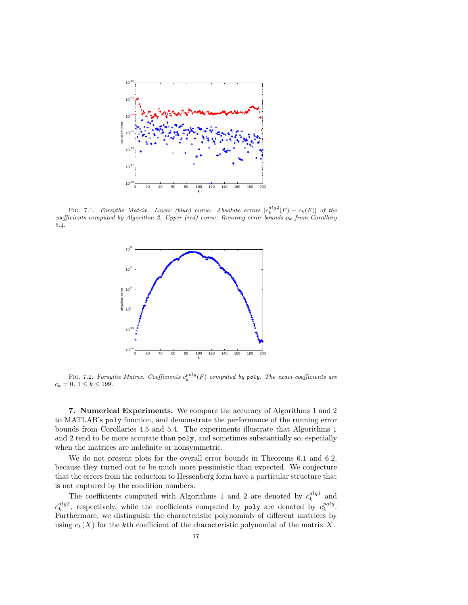

FIG. 7.1. *Forsythe Matrix.* Lower (blue) curve: Absolute errors  $|c_k^{alg2}(F) - c_k(F)|$  of the  $coefficients computed by Algorithm 2. Upper (red) curve: Running error bounds  $\rho_k$  from Corollary$ *5.4.*



FIG. 7.2. *Forsythe Matrix.* Coefficients  $c_k^{poly}(F)$  computed by poly. The exact coefficients are  $c_k = 0, 1 \leq k \leq 199.$ 

7. Numerical Experiments. We compare the accuracy of Algorithms 1 and 2 to MATLAB's poly function, and demonstrate the performance of the running error bounds from Corollaries 4.5 and 5.4. The experiments illustrate that Algorithms 1 and 2 tend to be more accurate than poly, and sometimes substantially so, especially when the matrices are indefinite or nonsymmetric.

We do not present plots for the overall error bounds in Theorems 6.1 and 6.2, because they turned out to be much more pessimistic than expected. We conjecture that the errors from the reduction to Hessenberg form have a particular structure that is not captured by the condition numbers.

The coefficients computed with Algorithms 1 and 2 are denoted by  $c_k^{alg1}$  and  $c_k^{alg2}$ , respectively, while the coefficients computed by poly are denoted by  $c_k^{poly}$ . Furthermore, we distinguish the characteristic polynomials of different matrices by using  $c_k(X)$  for the kth coefficient of the characteristic polynomial of the matrix X.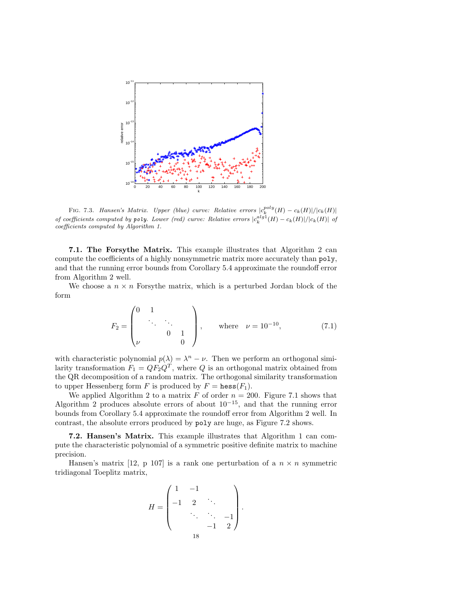

FIG. 7.3. *Hansen's Matrix.* Upper (blue) curve: Relative errors  $|c_k^{poly}(H) - c_k(H)|/|c_k(H)|$ *of coefficients computed by poly. Lower (red) curve: Relative errors*  $|c_k^{alg}(H) - c_k(H)|/|c_k(H)|$  *of coefficients computed by Algorithm 1.*

7.1. The Forsythe Matrix. This example illustrates that Algorithm 2 can compute the coefficients of a highly nonsymmetric matrix more accurately than poly, and that the running error bounds from Corollary 5.4 approximate the roundoff error from Algorithm 2 well.

We choose a  $n \times n$  For sythe matrix, which is a perturbed Jordan block of the form

$$
F_2 = \begin{pmatrix} 0 & 1 & & \\ & \ddots & \ddots & \\ & & 0 & 1 \\ \nu & & & 0 \end{pmatrix}, \quad \text{where} \quad \nu = 10^{-10}, \tag{7.1}
$$

with characteristic polynomial  $p(\lambda) = \lambda^n - \nu$ . Then we perform an orthogonal similarity transformation  $F_1 = QF_2Q^T$ , where Q is an orthogonal matrix obtained from the QR decomposition of a random matrix. The orthogonal similarity transformation to upper Hessenberg form F is produced by  $F = \text{hess}(F_1)$ .

We applied Algorithm 2 to a matrix F of order  $n = 200$ . Figure 7.1 shows that Algorithm 2 produces absolute errors of about  $10^{-15}$ , and that the running error bounds from Corollary 5.4 approximate the roundoff error from Algorithm 2 well. In contrast, the absolute errors produced by poly are huge, as Figure 7.2 shows.

7.2. Hansen's Matrix. This example illustrates that Algorithm 1 can compute the characteristic polynomial of a symmetric positive definite matrix to machine precision.

Hansen's matrix [12, p 107] is a rank one perturbation of a  $n \times n$  symmetric tridiagonal Toeplitz matrix,

$$
H = \begin{pmatrix} 1 & -1 & & & \\ -1 & 2 & \ddots & & \\ & \ddots & \ddots & -1 & \\ & & -1 & 2 \end{pmatrix}.
$$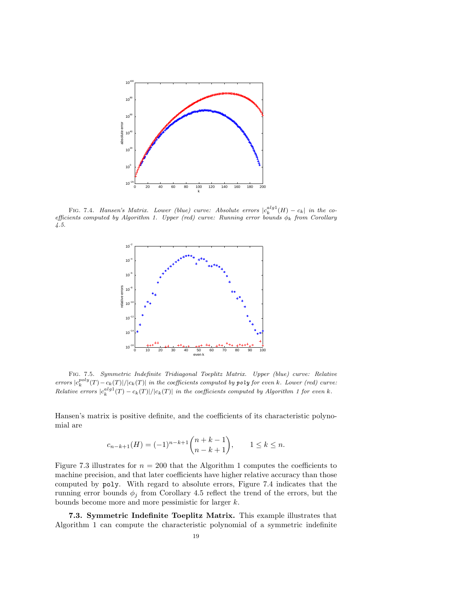

FIG. 7.4. *Hansen's Matrix. Lower (blue) curve: Absolute errors*  $|c_k^{alg1}(H) - c_k|$  in the co*efficients computed by Algorithm 1. Upper (red) curve: Running error bounds* φ<sup>k</sup> *from Corollary 4.5.*



Fig. 7.5. *Symmetric Indefinite Tridiagonal Toeplitz Matrix. Upper (blue) curve: Relative*  $\int_{c_k}^{poly}(T) - c_k(T) |f(c_k(T))|$  *in the coefficients computed by* poly *for even* k*. Lower (red) curve:*  $Relative \ errors \ |c_k^{alg1}(T) - c_k(T)|/|c_k(T)| \ \ in \ the \ coefficients \ computed \ by \ Algorithm \ 1 for \ even \ k.$ 

Hansen's matrix is positive definite, and the coefficients of its characteristic polynomial are

$$
c_{n-k+1}(H) = (-1)^{n-k+1} \binom{n+k-1}{n-k+1}, \qquad 1 \le k \le n.
$$

Figure 7.3 illustrates for  $n = 200$  that the Algorithm 1 computes the coefficients to machine precision, and that later coefficients have higher relative accuracy than those computed by poly. With regard to absolute errors, Figure 7.4 indicates that the running error bounds  $\phi_j$  from Corollary 4.5 reflect the trend of the errors, but the bounds become more and more pessimistic for larger k.

7.3. Symmetric Indefinite Toeplitz Matrix. This example illustrates that Algorithm 1 can compute the characteristic polynomial of a symmetric indefinite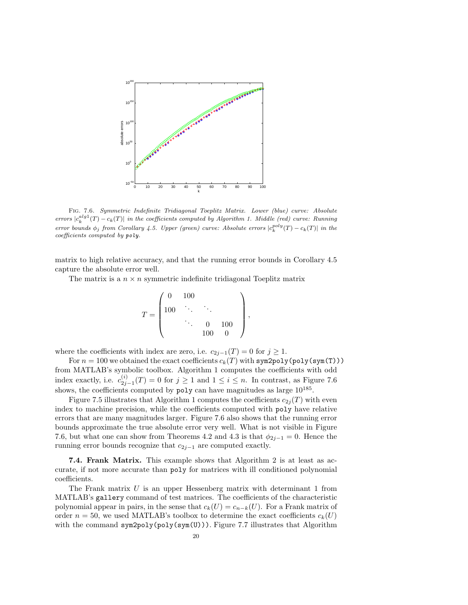

Fig. 7.6. *Symmetric Indefinite Tridiagonal Toeplitz Matrix. Lower (blue) curve: Absolute*  $\text{errors } |c_k^{alg1}(T) - c_k(T)|$  in the coefficients computed by Algorithm 1. Middle (red) curve: Running *error bounds*  $\phi_j$  *from Corollary 4.5. Upper (green) curve: Absolute errors*  $|c_k^{poly}(T) - c_k(T)|$  *in the coefficients computed by* poly*.*

matrix to high relative accuracy, and that the running error bounds in Corollary 4.5 capture the absolute error well.

The matrix is a  $n \times n$  symmetric indefinite tridiagonal Toeplitz matrix

$$
T = \begin{pmatrix} 0 & 100 & & & \\ 100 & \ddots & & & \\ & \ddots & 0 & 100 \\ & & 100 & 0 \end{pmatrix},
$$

where the coefficients with index are zero, i.e.  $c_{2j-1}(T) = 0$  for  $j \ge 1$ .

For  $n = 100$  we obtained the exact coefficients  $c_k(T)$  with sym2poly(poly(sym(T))) from MATLAB's symbolic toolbox. Algorithm 1 computes the coefficients with odd index exactly, i.e.  $c_{2j-1}^{(i)}(T) = 0$  for  $j \ge 1$  and  $1 \le i \le n$ . In contrast, as Figure 7.6 shows, the coefficients computed by  $poly can$  have magnitudes as large  $10^{185}$ .

Figure 7.5 illustrates that Algorithm 1 computes the coefficients  $c_{2i}(T)$  with even index to machine precision, while the coefficients computed with poly have relative errors that are many magnitudes larger. Figure 7.6 also shows that the running error bounds approximate the true absolute error very well. What is not visible in Figure 7.6, but what one can show from Theorems 4.2 and 4.3 is that  $\phi_{2j-1} = 0$ . Hence the running error bounds recognize that  $c_{2j-1}$  are computed exactly.

7.4. Frank Matrix. This example shows that Algorithm 2 is at least as accurate, if not more accurate than poly for matrices with ill conditioned polynomial coefficients.

The Frank matrix  $U$  is an upper Hessenberg matrix with determinant 1 from MATLAB's gallery command of test matrices. The coefficients of the characteristic polynomial appear in pairs, in the sense that  $c_k(U) = c_{n-k}(U)$ . For a Frank matrix of order  $n = 50$ , we used MATLAB's toolbox to determine the exact coefficients  $c_k(U)$ with the command sym2poly(poly(sym(U))). Figure 7.7 illustrates that Algorithm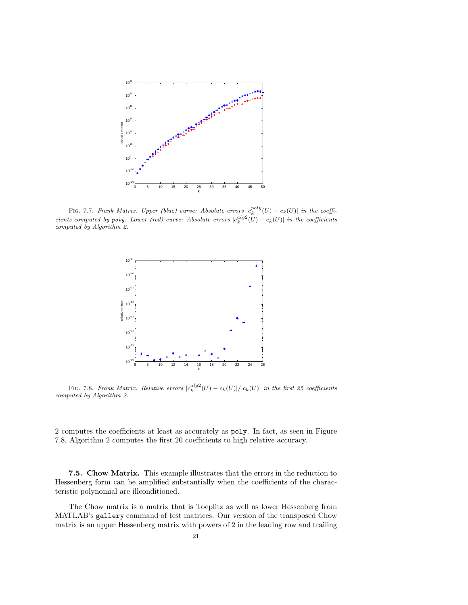

FIG. 7.7. *Frank Matrix. Upper (blue) curve: Absolute errors*  $|c_k^{poly}(U) - c_k(U)|$  in the coeffi*cients computed by poly. Lower (red) curve: Absolute errors*  $|c_k^{alg2}(U) - c_k(U)|$  in the coefficients *computed by Algorithm 2.*



FIG. 7.8. *Frank Matrix. Relative errors*  $|c_k^{alg2}(U) - c_k(U)|/|c_k(U)|$  *in the first 25 coefficients computed by Algorithm 2.*

2 computes the coefficients at least as accurately as poly. In fact, as seen in Figure 7.8, Algorithm 2 computes the first 20 coefficients to high relative accuracy.

7.5. Chow Matrix. This example illustrates that the errors in the reduction to Hessenberg form can be amplified substantially when the coefficients of the characteristic polynomial are illconditioned.

The Chow matrix is a matrix that is Toeplitz as well as lower Hessenberg from MATLAB's gallery command of test matrices. Our version of the transposed Chow matrix is an upper Hessenberg matrix with powers of 2 in the leading row and trailing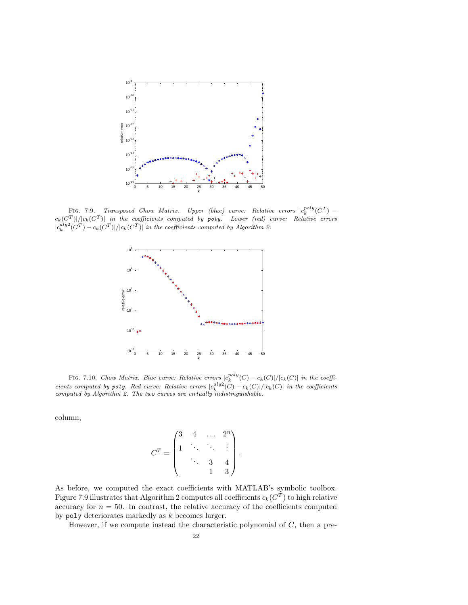

FIG. 7.9. *Transposed Chow Matrix.* Upper (blue) curve: Relative errors  $|c_k^{poly}(C^T)$  $c_k(C^T)|/|c_k(C^T)|$  in the coefficients computed by poly. Lower (red) curve: Relative errors  $|c_k^{alg2}(C^T) - c_k(C^T)|/|c_k(C^T)|$  in the coefficients computed by Algorithm 2.



FIG. 7.10. *Chow Matrix. Blue curve: Relative errors*  $|c_k^{poly}(C) - c_k(C)|/|c_k(C)|$  *in the coefficients computed by poly. Red curve: Relative errors*  $|c_k^{alg2}(C) - c_k(C)|/|c_k(C)|$  *in the coefficients computed by Algorithm 2. The two curves are virtually indistinguishable.*

column,

$$
C^{T} = \begin{pmatrix} 3 & 4 & \dots & 2^{n} \\ 1 & \ddots & \ddots & \vdots \\ & \ddots & 3 & 4 \\ & & 1 & 3 \end{pmatrix}.
$$

As before, we computed the exact coefficients with MATLAB's symbolic toolbox. Figure 7.9 illustrates that Algorithm 2 computes all coefficients  $c_k(C^T)$  to high relative accuracy for  $n = 50$ . In contrast, the relative accuracy of the coefficients computed by poly deteriorates markedly as k becomes larger.

However, if we compute instead the characteristic polynomial of  $C$ , then a pre-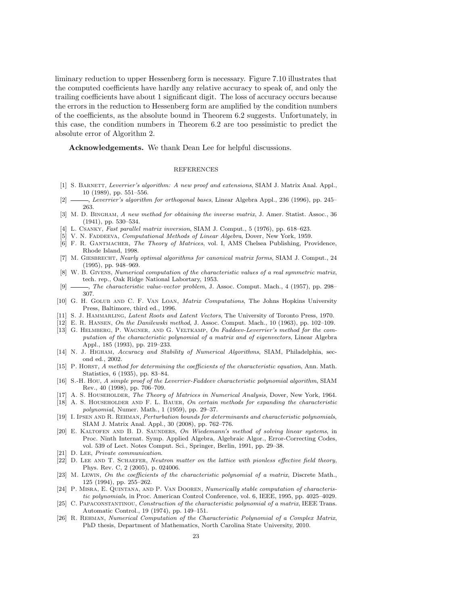liminary reduction to upper Hessenberg form is necessary. Figure 7.10 illustrates that the computed coefficients have hardly any relative accuracy to speak of, and only the trailing coefficients have about 1 significant digit. The loss of accuracy occurs because the errors in the reduction to Hessenberg form are amplified by the condition numbers of the coefficients, as the absolute bound in Theorem 6.2 suggests. Unfortunately, in this case, the condition numbers in Theorem 6.2 are too pessimistic to predict the absolute error of Algorithm 2.

Acknowledgements. We thank Dean Lee for helpful discussions.

## REFERENCES

- [1] S. Barnett, *Leverrier's algorithm: A new proof and extensions*, SIAM J. Matrix Anal. Appl., 10 (1989), pp. 551–556.
- [2] , *Leverrier's algorithm for orthogonal bases*, Linear Algebra Appl., 236 (1996), pp. 245– 263.
- [3] M. D. Bingham, *A new method for obtaining the inverse matrix*, J. Amer. Statist. Assoc., 36 (1941), pp. 530–534.
- [4] L. Csanky, *Fast parallel matrix inversion*, SIAM J. Comput., 5 (1976), pp. 618–623.
- [5] V. N. Faddeeva, *Computational Methods of Linear Algebra*, Dover, New York, 1959.
- [6] F. R. Gantmacher, *The Theory of Matrices*, vol. I, AMS Chelsea Publishing, Providence, Rhode Island, 1998.
- [7] M. Giesbrecht, *Nearly optimal algorithms for canonical matrix forms*, SIAM J. Comput., 24 (1995), pp. 948–969.
- [8] W. B. Givens, *Numerical computation of the characteristic values of a real symmetric matrix*, tech. rep., Oak Ridge National Labortary, 1953.
- [9] , *The characteristic value-vector problem*, J. Assoc. Comput. Mach., 4 (1957), pp. 298– 307.
- [10] G. H. Golub and C. F. Van Loan, *Matrix Computations*, The Johns Hopkins University Press, Baltimore, third ed., 1996.
- [11] S. J. Hammarling, *Latent Roots and Latent Vectors*, The University of Toronto Press, 1970.
- [12] E. R. Hansen, *On the Danilewski method*, J. Assoc. Comput. Mach., 10 (1963), pp. 102–109.
- [13] G. Helmberg, P. Wagner, and G. Veltkamp, *On Faddeev-Leverrier's method for the computation of the characteristic polynomial of a matrix and of eigenvectors*, Linear Algebra Appl., 185 (1993), pp. 219–233.
- [14] N. J. Higham, *Accuracy and Stability of Numerical Algorithms*, SIAM, Philadelphia, second ed., 2002.
- [15] P. Horst, *A method for determining the coefficients of the characteristic equation*, Ann. Math. Statistics, 6 (1935), pp. 83–84.
- [16] S.-H. Hou, *A simple proof of the Leverrier-Faddeev characteristic polynomial algorithm*, SIAM Rev., 40 (1998), pp. 706–709.
- [17] A. S. Householder, *The Theory of Matrices in Numerical Analysis*, Dover, New York, 1964.
- [18] A. S. Householder and F. L. Bauer, *On certain methods for expanding the characteristic polynomial*, Numer. Math., 1 (1959), pp. 29–37.
- [19] I. Ipsen and R. Rehman, *Perturbation bounds for determinants and characteristic polynomials*, SIAM J. Matrix Anal. Appl., 30 (2008), pp. 762–776.
- [20] E. KALTOFEN AND B. D. SAUNDERS, *On Wiedemann's method of solving linear systems*, in Proc. Ninth Internat. Symp. Applied Algebra, Algebraic Algor., Error-Correcting Codes, vol. 539 of Lect. Notes Comput. Sci., Springer, Berlin, 1991, pp. 29–38.
- [21] D. Lee, *Private communication*.
- [22] D. Lee and T. Schaefer, *Neutron matter on the lattice with pionless effective field theory*, Phys. Rev. C, 2 (2005), p. 024006.
- [23] M. Lewin, *On the coefficients of the characteristic polynomial of a matrix*, Discrete Math., 125 (1994), pp. 255–262.
- [24] P. Misra, E. Quintana, and P. Van Dooren, *Numerically stable computation of characteristic polynomials*, in Proc. American Control Conference, vol. 6, IEEE, 1995, pp. 4025–4029.
- [25] C. Papaconstantinou, *Construction of the characteristic polynomial of a matrix*, IEEE Trans. Automatic Control., 19 (1974), pp. 149–151.
- [26] R. Rehman, *Numerical Computation of the Characteristic Polynomial of a Complex Matrix*, PhD thesis, Department of Mathematics, North Carolina State University, 2010.